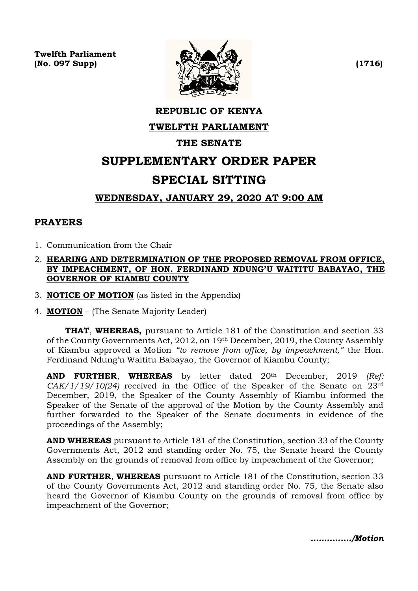**Twelfth Parliament**  $\mathbb{N}$  (No. 097 Supp)  $\mathbb{N}$  (1716)



# **REPUBLIC OF KENYA TWELFTH PARLIAMENT THE SENATE SUPPLEMENTARY ORDER PAPER SPECIAL SITTING WEDNESDAY, JANUARY 29, 2020 AT 9:00 AM**

# **PRAYERS**

- 1. Communication from the Chair
- 2. **HEARING AND DETERMINATION OF THE PROPOSED REMOVAL FROM OFFICE, BY IMPEACHMENT, OF HON. FERDINAND NDUNG'U WAITITU BABAYAO, THE GOVERNOR OF KIAMBU COUNTY**
- 3. **NOTICE OF MOTION** (as listed in the Appendix)
- 4. **MOTION** (The Senate Majority Leader)

**THAT**, **WHEREAS,** pursuant to Article 181 of the Constitution and section 33 of the County Governments Act, 2012, on 19th December, 2019, the County Assembly of Kiambu approved a Motion *"to remove from office, by impeachment,"* the Hon. Ferdinand Ndung'u Waititu Babayao, the Governor of Kiambu County;

**AND FURTHER**, **WHEREAS** by letter dated 20th December, 2019 *(Ref: CAK/1/19/10(24)* received in the Office of the Speaker of the Senate on 23rd December, 2019, the Speaker of the County Assembly of Kiambu informed the Speaker of the Senate of the approval of the Motion by the County Assembly and further forwarded to the Speaker of the Senate documents in evidence of the proceedings of the Assembly;

**AND WHEREAS** pursuant to Article 181 of the Constitution, section 33 of the County Governments Act, 2012 and standing order No. 75, the Senate heard the County Assembly on the grounds of removal from office by impeachment of the Governor;

**AND FURTHER**, **WHEREAS** pursuant to Article 181 of the Constitution, section 33 of the County Governments Act, 2012 and standing order No. 75, the Senate also heard the Governor of Kiambu County on the grounds of removal from office by impeachment of the Governor;

*..…………./Motion*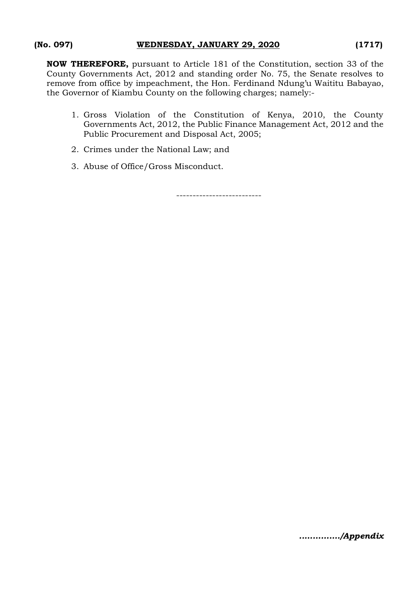**NOW THEREFORE,** pursuant to Article 181 of the Constitution, section 33 of the County Governments Act, 2012 and standing order No. 75, the Senate resolves to remove from office by impeachment, the Hon. Ferdinand Ndung'u Waititu Babayao, the Governor of Kiambu County on the following charges; namely:-

- 1. Gross Violation of the Constitution of Kenya, 2010, the County Governments Act, 2012, the Public Finance Management Act, 2012 and the Public Procurement and Disposal Act, 2005;
- 2. Crimes under the National Law; and
- 3. Abuse of Office/Gross Misconduct.

--------------------------

*..…………./Appendix*